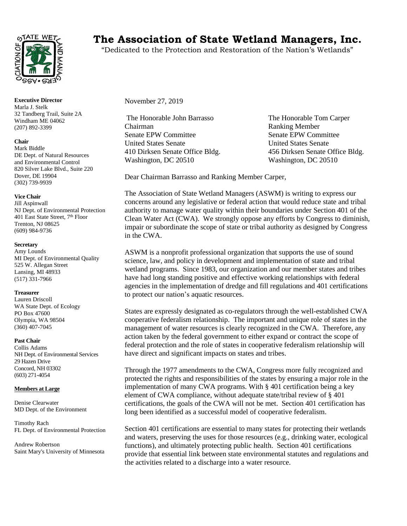

**Executive Director** Marla J. Stelk 32 Tandberg Trail, Suite 2A Windham ME 04062 (207) 892-3399

# **Chair**

Mark Biddle DE Dept. of Natural Resources and Environmental Control 820 Silver Lake Blvd., Suite 220 Dover, DE 19904 (302) 739-9939

# **Vice Chair**

Jill Aspinwall NJ Dept. of Environmental Protection 401 East State Street, 7<sup>th</sup> Floor Trenton, NJ 08625 (609) 984-9736

#### **Secretary**

Amy Lounds MI Dept. of Environmental Quality 525 W. Allegan Street Lansing, MI 48933 (517) 331-7966

#### **Treasurer**

Lauren Driscoll WA State Dept. of Ecology PO Box 47600 Olympia, WA 98504 (360) 407-7045

# **Past Chair**

Collis Adams NH Dept. of Environmental Services 29 Hazen Drive Concord, NH 03302 (603) 271-4054

# **Members at Large**

Denise Clearwater MD Dept. of the Environment

Timothy Rach FL Dept. of Environmental Protection

Andrew Robertson Saint Mary's University of Minnesota

# **The Association of State Wetland Managers, Inc.**

"Dedicated to the Protection and Restoration of the Nation's Wetlands"

November 27, 2019

The Honorable John Barrasso The Honorable Tom Carper Chairman Ranking Member Senate EPW Committee Senate EPW Committee United States Senate United States Senate 410 Dirksen Senate Office Bldg. 456 Dirksen Senate Office Bldg. Washington, DC 20510 Washington, DC 20510

Dear Chairman Barrasso and Ranking Member Carper,

The Association of State Wetland Managers (ASWM) is writing to express our concerns around any legislative or federal action that would reduce state and tribal authority to manage water quality within their boundaries under Section 401 of the Clean Water Act (CWA). We strongly oppose any efforts by Congress to diminish, impair or subordinate the scope of state or tribal authority as designed by Congress in the CWA.

ASWM is a nonprofit professional organization that supports the use of sound science, law, and policy in development and implementation of state and tribal wetland programs. Since 1983, our organization and our member states and tribes have had long standing positive and effective working relationships with federal agencies in the implementation of dredge and fill regulations and 401 certifications to protect our nation's aquatic resources.

States are expressly designated as co-regulators through the well-established CWA cooperative federalism relationship. The important and unique role of states in the management of water resources is clearly recognized in the CWA. Therefore, any action taken by the federal government to either expand or contract the scope of federal protection and the role of states in cooperative federalism relationship will have direct and significant impacts on states and tribes.

Through the 1977 amendments to the CWA, Congress more fully recognized and protected the rights and responsibilities of the states by ensuring a major role in the implementation of many CWA programs. With § 401 certification being a key element of CWA compliance, without adequate state/tribal review of § 401 certifications, the goals of the CWA will not be met. Section 401 certification has long been identified as a successful model of cooperative federalism.

Section 401 certifications are essential to many states for protecting their wetlands and waters, preserving the uses for those resources (e.g., drinking water, ecological functions), and ultimately protecting public health. Section 401 certifications provide that essential link between state environmental statutes and regulations and the activities related to a discharge into a water resource.